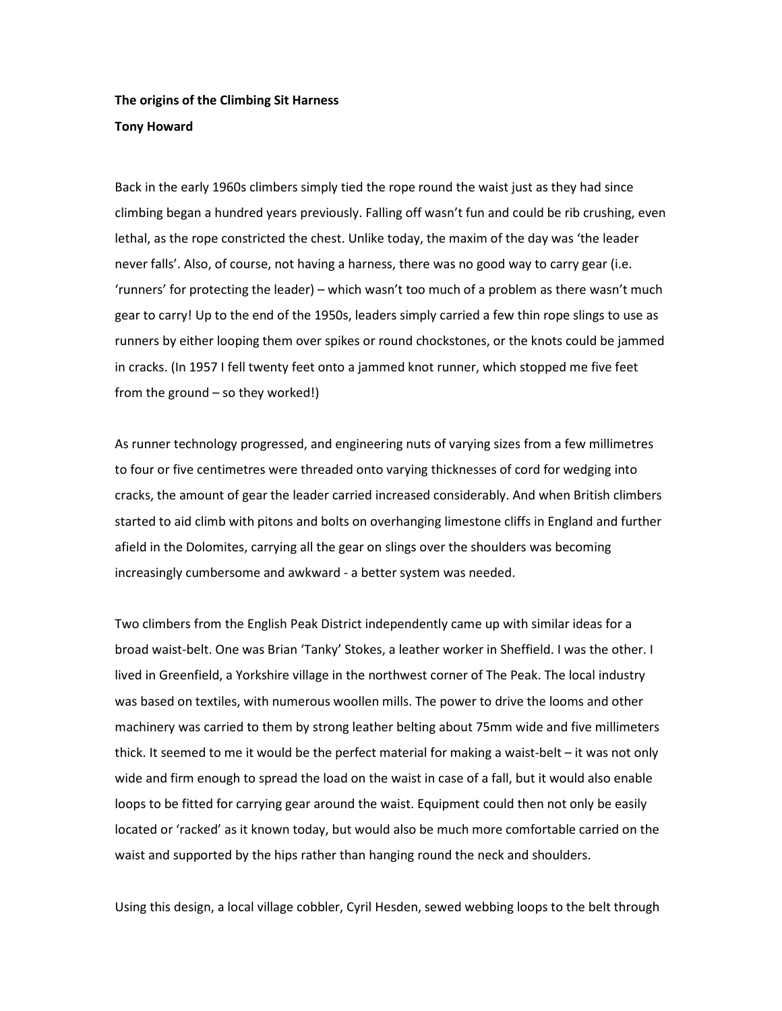## **The origins of the Climbing Sit Harness Tony Howard**

Back in the early 1960s climbers simply tied the rope round the waist just as they had since climbing began a hundred years previously. Falling off wasn't fun and could be rib crushing, even lethal, as the rope constricted the chest. Unlike today, the maxim of the day was 'the leader never falls'. Also, of course, not having a harness, there was no good way to carry gear (i.e. 'runners' for protecting the leader) – which wasn't too much of a problem as there wasn't much gear to carry! Up to the end of the 1950s, leaders simply carried a few thin rope slings to use as runners by either looping them over spikes or round chockstones, or the knots could be jammed in cracks. (In 1957 I fell twenty feet onto a jammed knot runner, which stopped me five feet from the ground – so they worked!)

As runner technology progressed, and engineering nuts of varying sizes from a few millimetres to four or five centimetres were threaded onto varying thicknesses of cord for wedging into cracks, the amount of gear the leader carried increased considerably. And when British climbers started to aid climb with pitons and bolts on overhanging limestone cliffs in England and further afield in the Dolomites, carrying all the gear on slings over the shoulders was becoming increasingly cumbersome and awkward - a better system was needed.

Two climbers from the English Peak District independently came up with similar ideas for a broad waist-belt. One was Brian 'Tanky' Stokes, a leather worker in Sheffield. I was the other. I lived in Greenfield, a Yorkshire village in the northwest corner of The Peak. The local industry was based on textiles, with numerous woollen mills. The power to drive the looms and other machinery was carried to them by strong leather belting about 75mm wide and five millimeters thick. It seemed to me it would be the perfect material for making a waist-belt – it was not only wide and firm enough to spread the load on the waist in case of a fall, but it would also enable loops to be fitted for carrying gear around the waist. Equipment could then not only be easily located or 'racked' as it known today, but would also be much more comfortable carried on the waist and supported by the hips rather than hanging round the neck and shoulders.

Using this design, a local village cobbler, Cyril Hesden, sewed webbing loops to the belt through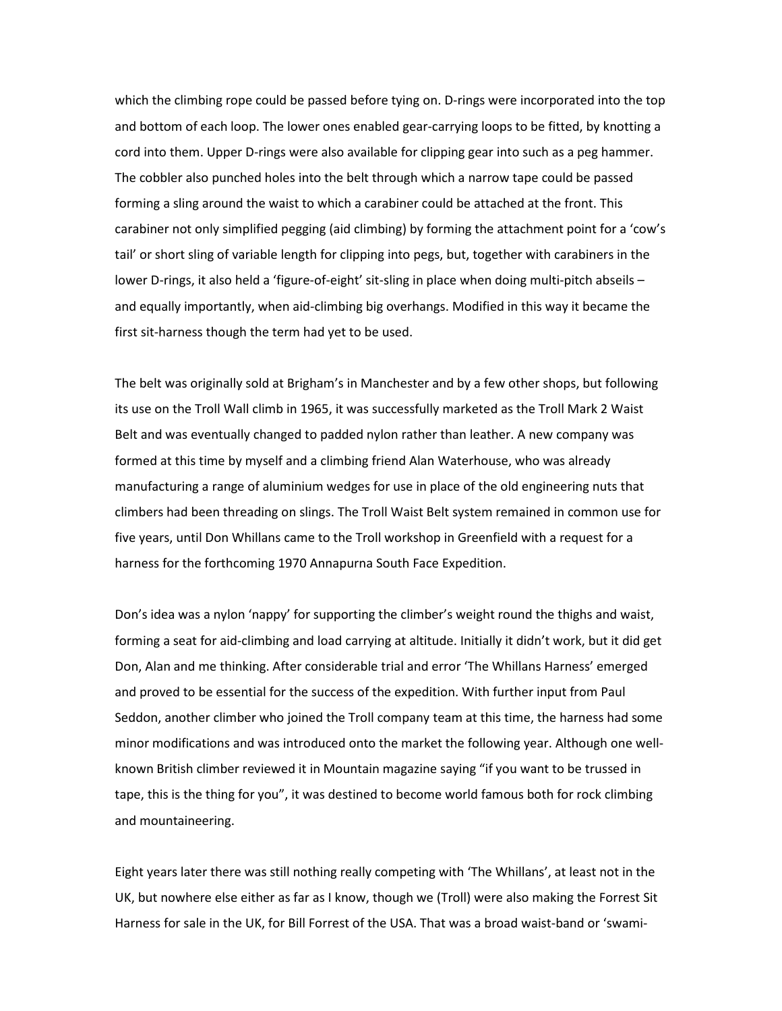which the climbing rope could be passed before tying on. D-rings were incorporated into the top and bottom of each loop. The lower ones enabled gear-carrying loops to be fitted, by knotting a cord into them. Upper D-rings were also available for clipping gear into such as a peg hammer. The cobbler also punched holes into the belt through which a narrow tape could be passed forming a sling around the waist to which a carabiner could be attached at the front. This carabiner not only simplified pegging (aid climbing) by forming the attachment point for a 'cow's tail' or short sling of variable length for clipping into pegs, but, together with carabiners in the lower D-rings, it also held a 'figure-of-eight' sit-sling in place when doing multi-pitch abseils – and equally importantly, when aid-climbing big overhangs. Modified in this way it became the first sit-harness though the term had yet to be used.

The belt was originally sold at Brigham's in Manchester and by a few other shops, but following its use on the Troll Wall climb in 1965, it was successfully marketed as the Troll Mark 2 Waist Belt and was eventually changed to padded nylon rather than leather. A new company was formed at this time by myself and a climbing friend Alan Waterhouse, who was already manufacturing a range of aluminium wedges for use in place of the old engineering nuts that climbers had been threading on slings. The Troll Waist Belt system remained in common use for five years, until Don Whillans came to the Troll workshop in Greenfield with a request for a harness for the forthcoming 1970 Annapurna South Face Expedition.

Don's idea was a nylon 'nappy' for supporting the climber's weight round the thighs and waist, forming a seat for aid-climbing and load carrying at altitude. Initially it didn't work, but it did get Don, Alan and me thinking. After considerable trial and error 'The Whillans Harness' emerged and proved to be essential for the success of the expedition. With further input from Paul Seddon, another climber who joined the Troll company team at this time, the harness had some minor modifications and was introduced onto the market the following year. Although one wellknown British climber reviewed it in Mountain magazine saying "if you want to be trussed in tape, this is the thing for you", it was destined to become world famous both for rock climbing and mountaineering.

Eight years later there was still nothing really competing with 'The Whillans', at least not in the UK, but nowhere else either as far as I know, though we (Troll) were also making the Forrest Sit Harness for sale in the UK, for Bill Forrest of the USA. That was a broad waist-band or 'swami